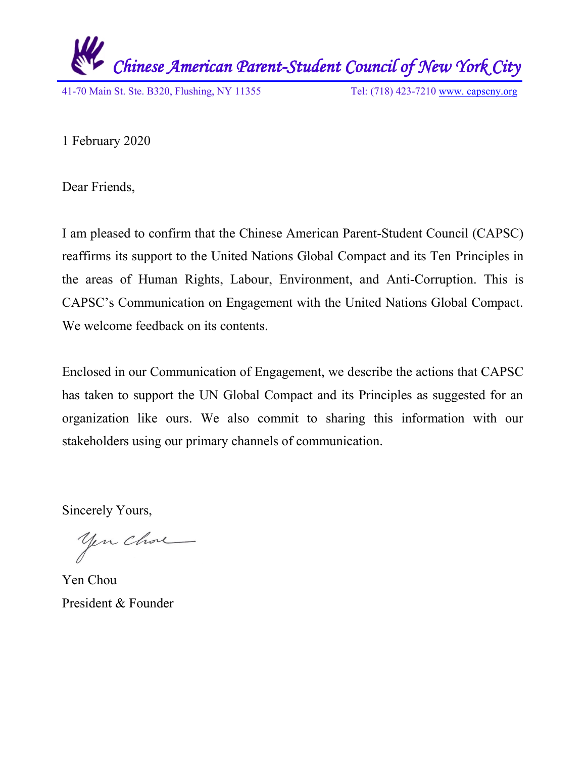

1 February 2020

Dear Friends,

I am pleased to confirm that the Chinese American Parent-Student Council (CAPSC) reaffirms its support to the United Nations Global Compact and its Ten Principles in the areas of Human Rights, Labour, Environment, and Anti-Corruption. This is CAPSC's Communication on Engagement with the United Nations Global Compact. We welcome feedback on its contents.

Enclosed in our Communication of Engagement, we describe the actions that CAPSC has taken to support the UN Global Compact and its Principles as suggested for an organization like ours. We also commit to sharing this information with our stakeholders using our primary channels of communication.

Sincerely Yours,

yen chose

Yen Chou President & Founder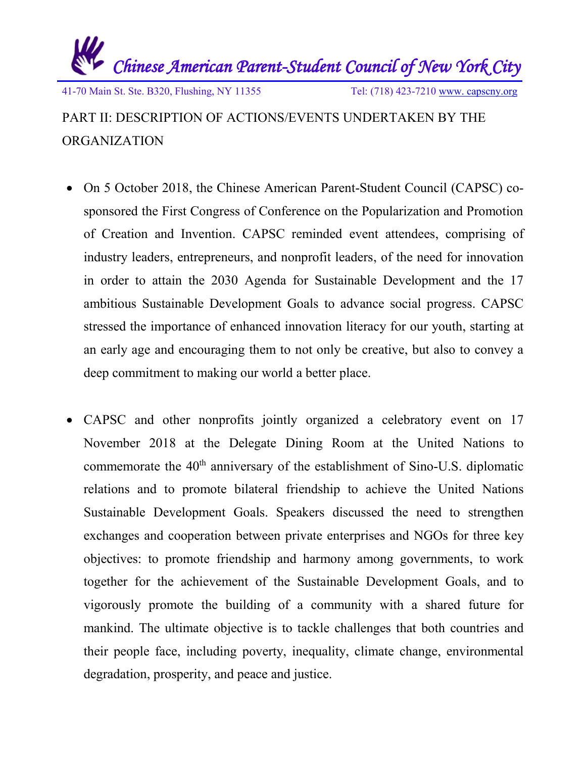

## PART II: DESCRIPTION OF ACTIONS/EVENTS UNDERTAKEN BY THE ORGANIZATION

- On 5 October 2018, the Chinese American Parent-Student Council (CAPSC) cosponsored the First Congress of Conference on the Popularization and Promotion of Creation and Invention. CAPSC reminded event attendees, comprising of industry leaders, entrepreneurs, and nonprofit leaders, of the need for innovation in order to attain the 2030 Agenda for Sustainable Development and the 17 ambitious Sustainable Development Goals to advance social progress. CAPSC stressed the importance of enhanced innovation literacy for our youth, starting at an early age and encouraging them to not only be creative, but also to convey a deep commitment to making our world a better place.
- CAPSC and other nonprofits jointly organized a celebratory event on 17 November 2018 at the Delegate Dining Room at the United Nations to commemorate the 40<sup>th</sup> anniversary of the establishment of Sino-U.S. diplomatic relations and to promote bilateral friendship to achieve the United Nations Sustainable Development Goals. Speakers discussed the need to strengthen exchanges and cooperation between private enterprises and NGOs for three key objectives: to promote friendship and harmony among governments, to work together for the achievement of the Sustainable Development Goals, and to vigorously promote the building of a community with a shared future for mankind. The ultimate objective is to tackle challenges that both countries and their people face, including poverty, inequality, climate change, environmental degradation, prosperity, and peace and justice.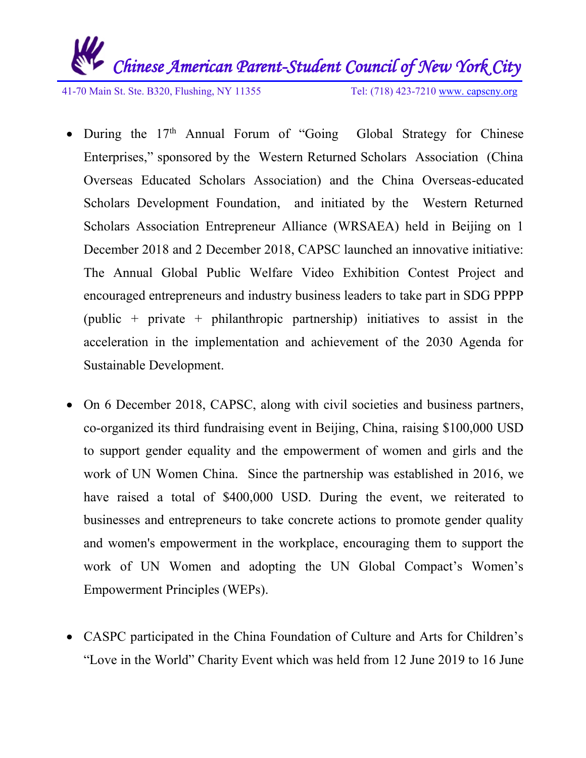

41-70 Main St. Ste. B320, Flushing, NY 11355 Tel: (718) 423-7210 [www. capscny.org](file:///C:/Users/Roger/Downloads/SS-SCSD/FOYC/Downloads/www.%20capscny.org)

- During the  $17<sup>th</sup>$  Annual Forum of "Going Global Strategy for Chinese Enterprises," sponsored by the Western Returned Scholars Association (China Overseas Educated Scholars Association) and the China Overseas-educated Scholars Development Foundation, and initiated by the Western Returned Scholars Association Entrepreneur Alliance (WRSAEA) held in Beijing on 1 December 2018 and 2 December 2018, CAPSC launched an innovative initiative: The Annual Global Public Welfare Video Exhibition Contest Project and encouraged entrepreneurs and industry business leaders to take part in SDG PPPP (public + private + philanthropic partnership) initiatives to assist in the acceleration in the implementation and achievement of the 2030 Agenda for Sustainable Development.
- On 6 December 2018, CAPSC, along with civil societies and business partners, co-organized its third fundraising event in Beijing, China, raising \$100,000 USD to support gender equality and the empowerment of women and girls and the work of UN Women China. Since the partnership was established in 2016, we have raised a total of \$400,000 USD. During the event, we reiterated to businesses and entrepreneurs to take concrete actions to promote gender quality and women's empowerment in the workplace, encouraging them to support the work of UN Women and adopting the UN Global Compact's Women's Empowerment Principles (WEPs).
- CASPC participated in the China Foundation of Culture and Arts for Children's "Love in the World" Charity Event which was held from 12 June 2019 to 16 June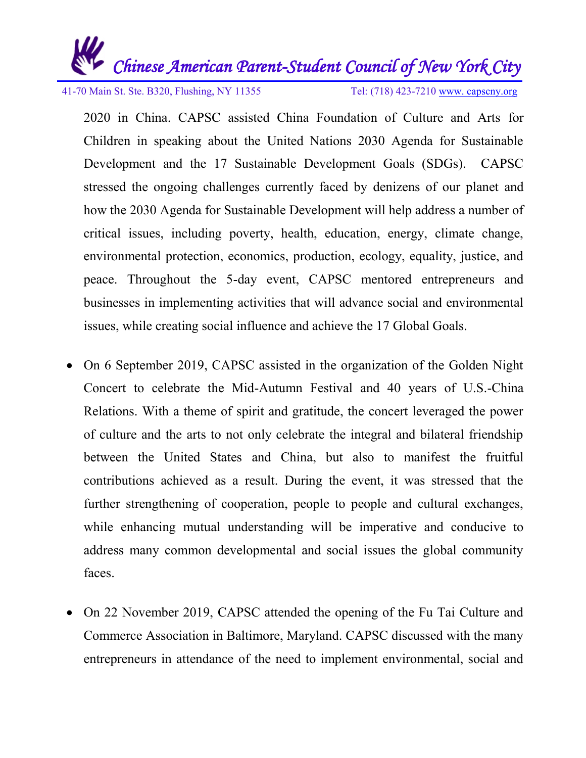

41-70 Main St. Ste. B320, Flushing, NY 11355 Tel: (718) 423-7210 [www. capscny.org](file:///C:/Users/Roger/Downloads/SS-SCSD/FOYC/Downloads/www.%20capscny.org)

2020 in China. CAPSC assisted China Foundation of Culture and Arts for Children in speaking about the United Nations 2030 Agenda for Sustainable Development and the 17 Sustainable Development Goals (SDGs). CAPSC stressed the ongoing challenges currently faced by denizens of our planet and how the 2030 Agenda for Sustainable Development will help address a number of critical issues, including poverty, health, education, energy, climate change, environmental protection, economics, production, ecology, equality, justice, and peace. Throughout the 5-day event, CAPSC mentored entrepreneurs and businesses in implementing activities that will advance social and environmental issues, while creating social influence and achieve the 17 Global Goals.

- On 6 September 2019, CAPSC assisted in the organization of the Golden Night Concert to celebrate the Mid-Autumn Festival and 40 years of U.S.-China Relations. With a theme of spirit and gratitude, the concert leveraged the power of culture and the arts to not only celebrate the integral and bilateral friendship between the United States and China, but also to manifest the fruitful contributions achieved as a result. During the event, it was stressed that the further strengthening of cooperation, people to people and cultural exchanges, while enhancing mutual understanding will be imperative and conducive to address many common developmental and social issues the global community faces.
- On 22 November 2019, CAPSC attended the opening of the Fu Tai Culture and Commerce Association in Baltimore, Maryland. CAPSC discussed with the many entrepreneurs in attendance of the need to implement environmental, social and